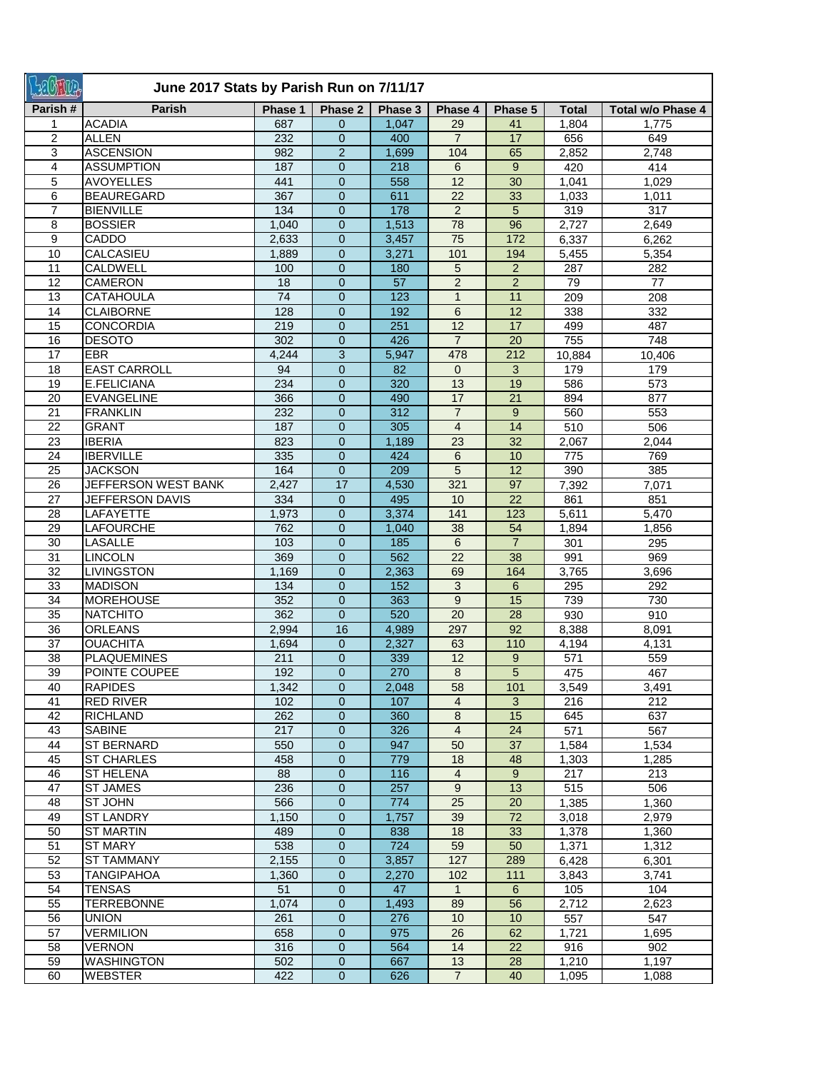| +2GNO3          | June 2017 Stats by Parish Run on 7/11/17 |         |                  |         |                         |                 |              |                   |  |  |
|-----------------|------------------------------------------|---------|------------------|---------|-------------------------|-----------------|--------------|-------------------|--|--|
| Parish#         | <b>Parish</b>                            | Phase 1 | Phase 2          | Phase 3 | Phase 4                 | Phase 5         | <b>Total</b> | Total w/o Phase 4 |  |  |
| 1               | <b>ACADIA</b>                            | 687     | $\mathbf{0}$     | 1,047   | 29                      | 41              | 1,804        | 1,775             |  |  |
| $\overline{2}$  | <b>ALLEN</b>                             | 232     | $\mathbf 0$      | 400     | $\overline{7}$          | 17              | 656          | 649               |  |  |
| 3               | <b>ASCENSION</b>                         | 982     | $\overline{2}$   | 1,699   | 104                     | 65              | 2,852        | 2,748             |  |  |
| 4               | <b>ASSUMPTION</b>                        | 187     | $\mathbf 0$      | 218     | 6                       | 9               | 420          | 414               |  |  |
| 5               | <b>AVOYELLES</b>                         | 441     | $\boldsymbol{0}$ | 558     | $\overline{12}$         | 30              | 1,041        | 1,029             |  |  |
| 6               | <b>BEAUREGARD</b>                        | 367     | $\mathbf 0$      | 611     | 22                      | 33              | 1,033        | 1,011             |  |  |
| $\overline{7}$  | <b>BIENVILLE</b>                         | 134     | $\boldsymbol{0}$ | 178     | $\overline{2}$          | 5               | 319          | 317               |  |  |
| 8               | <b>BOSSIER</b>                           | 1,040   | $\mathbf{0}$     | 1,513   | 78                      | 96              | 2,727        | 2,649             |  |  |
| 9               | CADDO                                    | 2,633   | $\overline{0}$   | 3,457   | 75                      | 172             | 6,337        | 6,262             |  |  |
| 10              | CALCASIEU                                | 1,889   | $\boldsymbol{0}$ | 3,271   | 101                     | 194             | 5,455        | 5,354             |  |  |
| 11              | <b>CALDWELL</b>                          | 100     | $\boldsymbol{0}$ | 180     | 5                       | $\overline{2}$  | 287          | 282               |  |  |
| 12              | <b>CAMERON</b>                           | 18      | $\mathbf 0$      | 57      | $\overline{2}$          | $\overline{2}$  | 79           | 77                |  |  |
| 13              | <b>CATAHOULA</b>                         | 74      | $\mathbf 0$      | 123     | $\mathbf{1}$            | 11              | 209          | 208               |  |  |
| 14              | <b>CLAIBORNE</b>                         | 128     | $\overline{0}$   | 192     | 6                       | 12              | 338          | 332               |  |  |
| 15              | <b>CONCORDIA</b>                         | 219     | $\overline{0}$   | 251     | 12                      | 17              | 499          | 487               |  |  |
| 16              | <b>DESOTO</b>                            | 302     | $\overline{0}$   | 426     | $\overline{7}$          | 20              | 755          | 748               |  |  |
| $\overline{17}$ | <b>EBR</b>                               | 4,244   | 3                | 5,947   | 478                     | 212             | 10,884       | 10,406            |  |  |
| $\overline{18}$ | <b>EAST CARROLL</b>                      | 94      | $\overline{0}$   | 82      | $\mathbf{0}$            | 3               | 179          | 179               |  |  |
| 19              | E.FELICIANA                              | 234     | $\mathbf{0}$     | 320     | 13                      | 19              | 586          | 573               |  |  |
| 20              | <b>EVANGELINE</b>                        | 366     | $\overline{0}$   | 490     | 17                      | 21              | 894          | 877               |  |  |
| $\overline{21}$ | <b>FRANKLIN</b>                          | 232     | 0                | 312     | $\overline{7}$          | 9               | 560          | 553               |  |  |
| 22              | <b>GRANT</b>                             | 187     | 0                | 305     | $\overline{\mathbf{4}}$ | 14              | 510          | 506               |  |  |
| 23              | <b>IBERIA</b>                            | 823     | $\overline{0}$   | 1,189   | 23                      | $\overline{32}$ | 2,067        | 2,044             |  |  |
| 24              | <b>IBERVILLE</b>                         | 335     | $\mathbf{0}$     | 424     | 6                       | 10              | 775          | 769               |  |  |
| 25              | <b>JACKSON</b>                           | 164     | $\mathbf 0$      | 209     | 5                       | 12              | 390          | 385               |  |  |
| 26              | JEFFERSON WEST BANK                      | 2,427   | 17               | 4,530   | 321                     | 97              | 7,392        | 7,071             |  |  |
| 27              | JEFFERSON DAVIS                          | 334     | $\mathbf 0$      | 495     | 10                      | 22              | 861          | 851               |  |  |
| 28              | LAFAYETTE                                | 1,973   | 0                | 3,374   | 141                     | 123             | 5,611        | 5,470             |  |  |
| 29              | <b>LAFOURCHE</b>                         | 762     | $\boldsymbol{0}$ | 1,040   | 38                      | 54              | 1,894        | 1,856             |  |  |
| 30              | <b>LASALLE</b>                           | 103     | $\boldsymbol{0}$ | 185     | 6                       | $\overline{7}$  | 301          | 295               |  |  |
| $\overline{31}$ | <b>LINCOLN</b>                           | 369     | $\boldsymbol{0}$ | 562     | 22                      | 38              | 991          | 969               |  |  |
| 32              | <b>LIVINGSTON</b>                        | 1,169   | $\boldsymbol{0}$ | 2,363   | 69                      | 164             | 3,765        | 3,696             |  |  |
| 33              | <b>MADISON</b>                           | 134     | $\overline{0}$   | 152     | 3                       | 6               | 295          | 292               |  |  |
| 34              | MOREHOUSE                                | 352     | $\Omega$         | 363     | 9                       | 15              | 739          | 730               |  |  |
| 35              | <b>NATCHITO</b>                          | 362     | $\Omega$         | 520     | 20                      | 28              | 930          | 910               |  |  |
| 36              | <b>ORLEANS</b>                           | 2,994   | 16               | 4,989   | 297                     | 92              | 8,388        | 8,091             |  |  |
| 37              | <b>OUACHITA</b>                          | 1,694   | $\overline{0}$   | 2,327   | 63                      | 110             | 4,194        | 4,131             |  |  |
| 38              | <b>PLAQUEMINES</b>                       | 211     | $\overline{0}$   | 339     | 12                      | 9               | 571          | 559               |  |  |
| 39              | POINTE COUPEE                            | 192     | $\mathbf{0}$     | 270     | 8                       | $\overline{5}$  | 475          | 467               |  |  |
| 40              | <b>RAPIDES</b>                           | 1,342   | $\mathbf 0$      | 2,048   | 58                      | 101             | 3,549        | 3,491             |  |  |
| 41              | <b>RED RIVER</b>                         | 102     | $\mathbf 0$      | 107     | $\overline{4}$          | 3               | 216          | 212               |  |  |
| 42              | <b>RICHLAND</b>                          | 262     | 0                | 360     | 8                       | 15              | 645          | 637               |  |  |
| 43              | <b>SABINE</b>                            | 217     | 0                | 326     | 4                       | 24              | 571          | 567               |  |  |
| 44              | <b>ST BERNARD</b>                        | 550     | $\boldsymbol{0}$ | 947     | 50                      | 37              | 1,584        | 1,534             |  |  |
| 45              | <b>ST CHARLES</b>                        | 458     | $\mathbf{0}$     | 779     | 18                      | 48              | 1,303        | 1,285             |  |  |
| 46              | <b>ST HELENA</b>                         | 88      | $\overline{0}$   | 116     | $\overline{4}$          | 9               | 217          | 213               |  |  |
| 47              | <b>ST JAMES</b>                          | 236     | $\mathbf{0}$     | 257     | 9                       | 13              | 515          | 506               |  |  |
| 48              | ST JOHN                                  | 566     | $\mathbf{0}$     | 774     | 25                      | 20              | 1,385        | 1,360             |  |  |
| 49              | <b>ST LANDRY</b>                         | 1,150   | $\overline{0}$   | 1,757   | 39                      | 72              | 3,018        | 2,979             |  |  |
| 50              | <b>ST MARTIN</b>                         | 489     | $\overline{0}$   | 838     | 18                      | 33              | 1,378        | 1,360             |  |  |
| 51              | ST MARY                                  | 538     | $\mathbf{0}$     | 724     | 59                      | 50              | 1,371        | 1,312             |  |  |
| 52              | <b>ST TAMMANY</b>                        | 2,155   | $\overline{0}$   | 3,857   | 127                     | 289             | 6,428        | 6,301             |  |  |
| 53              | <b>TANGIPAHOA</b>                        | 1,360   | 0                | 2,270   | 102                     | 111             | 3,843        | 3,741             |  |  |
| 54              | <b>TENSAS</b>                            | 51      | $\overline{0}$   | 47      | $\mathbf{1}$            | 6               | 105          | 104               |  |  |
| 55              | <b>TERREBONNE</b>                        | 1,074   | $\mathbf{0}$     | 1,493   | 89                      | 56              | 2,712        | 2,623             |  |  |
| 56              | <b>UNION</b>                             | 261     | $\mathbf{0}$     | 276     | 10                      | 10              | 557          | 547               |  |  |
| 57              | <b>VERMILION</b>                         | 658     | $\overline{0}$   | 975     | 26                      | 62              | 1,721        | 1,695             |  |  |
| 58              | <b>VERNON</b>                            | 316     | $\mathbf{0}$     | 564     | 14                      | 22              | 916          | 902               |  |  |
| 59              | <b>WASHINGTON</b>                        | 502     | $\mathbf{0}$     | 667     | 13                      | 28              | 1,210        | 1,197             |  |  |
| 60              | <b>WEBSTER</b>                           | 422     | $\boldsymbol{0}$ | 626     | $\overline{7}$          | 40              | 1,095        | 1,088             |  |  |